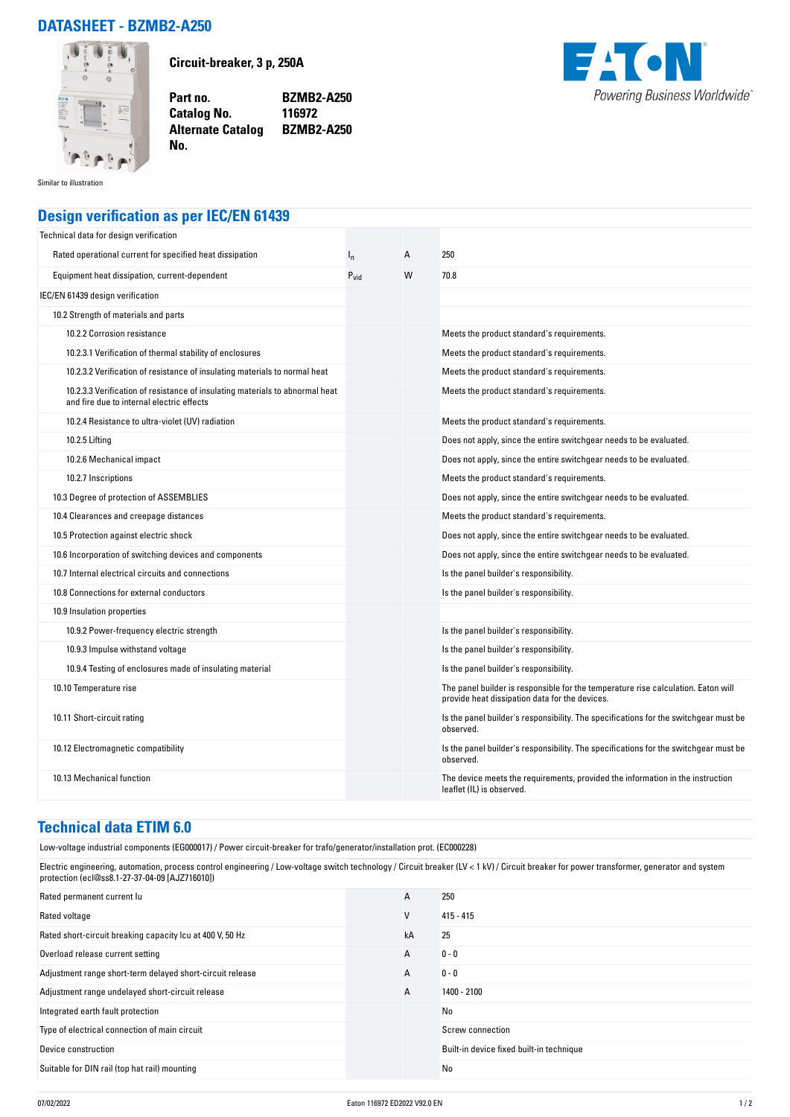## **DATASHEET - BZMB2-A250**



**Circuit-breaker, 3 p, 250A**

**Catalog No.** 

**No.** 

**Part no. BZMB2-A250 Alternate Catalog BZMB2-A250**



Similar to illustration

## **Design verification as per IEC/EN 61439**

| Technical data for design verification                                                                                    |           |   |                                                                                                                                     |
|---------------------------------------------------------------------------------------------------------------------------|-----------|---|-------------------------------------------------------------------------------------------------------------------------------------|
| Rated operational current for specified heat dissipation                                                                  | $I_{n}$   | A | 250                                                                                                                                 |
| Equipment heat dissipation, current-dependent                                                                             | $P_{vid}$ | W | 70.8                                                                                                                                |
| IEC/EN 61439 design verification                                                                                          |           |   |                                                                                                                                     |
| 10.2 Strength of materials and parts                                                                                      |           |   |                                                                                                                                     |
| 10.2.2 Corrosion resistance                                                                                               |           |   | Meets the product standard's requirements.                                                                                          |
| 10.2.3.1 Verification of thermal stability of enclosures                                                                  |           |   | Meets the product standard's requirements.                                                                                          |
| 10.2.3.2 Verification of resistance of insulating materials to normal heat                                                |           |   | Meets the product standard's requirements.                                                                                          |
| 10.2.3.3 Verification of resistance of insulating materials to abnormal heat<br>and fire due to internal electric effects |           |   | Meets the product standard's requirements.                                                                                          |
| 10.2.4 Resistance to ultra-violet (UV) radiation                                                                          |           |   | Meets the product standard's requirements.                                                                                          |
| 10.2.5 Lifting                                                                                                            |           |   | Does not apply, since the entire switchgear needs to be evaluated.                                                                  |
| 10.2.6 Mechanical impact                                                                                                  |           |   | Does not apply, since the entire switchgear needs to be evaluated.                                                                  |
| 10.2.7 Inscriptions                                                                                                       |           |   | Meets the product standard's requirements.                                                                                          |
| 10.3 Degree of protection of ASSEMBLIES                                                                                   |           |   | Does not apply, since the entire switchgear needs to be evaluated.                                                                  |
| 10.4 Clearances and creepage distances                                                                                    |           |   | Meets the product standard's requirements.                                                                                          |
| 10.5 Protection against electric shock                                                                                    |           |   | Does not apply, since the entire switchgear needs to be evaluated.                                                                  |
| 10.6 Incorporation of switching devices and components                                                                    |           |   | Does not apply, since the entire switchgear needs to be evaluated.                                                                  |
| 10.7 Internal electrical circuits and connections                                                                         |           |   | Is the panel builder's responsibility.                                                                                              |
| 10.8 Connections for external conductors                                                                                  |           |   | Is the panel builder's responsibility.                                                                                              |
| 10.9 Insulation properties                                                                                                |           |   |                                                                                                                                     |
| 10.9.2 Power-frequency electric strength                                                                                  |           |   | Is the panel builder's responsibility.                                                                                              |
| 10.9.3 Impulse withstand voltage                                                                                          |           |   | Is the panel builder's responsibility.                                                                                              |
| 10.9.4 Testing of enclosures made of insulating material                                                                  |           |   | Is the panel builder's responsibility.                                                                                              |
| 10.10 Temperature rise                                                                                                    |           |   | The panel builder is responsible for the temperature rise calculation. Eaton will<br>provide heat dissipation data for the devices. |
| 10.11 Short-circuit rating                                                                                                |           |   | Is the panel builder's responsibility. The specifications for the switchgear must be<br>observed.                                   |
| 10.12 Electromagnetic compatibility                                                                                       |           |   | Is the panel builder's responsibility. The specifications for the switchgear must be<br>observed.                                   |
| 10.13 Mechanical function                                                                                                 |           |   | The device meets the requirements, provided the information in the instruction<br>leaflet (IL) is observed.                         |

## **Technical data ETIM 6.0**

Low-voltage industrial components (EG000017) / Power circuit-breaker for trafo/generator/installation prot. (EC000228)

Electric engineering, automation, process control engineering / Low-voltage switch technology / Circuit breaker (LV < 1 kV) / Circuit breaker for power transformer, generator and system protection (ecl@ss8.1-27-37-04-09 [AJZ716010])

| Rated permanent current lu                                | A  | 250                                      |
|-----------------------------------------------------------|----|------------------------------------------|
| Rated voltage                                             | V  | $415 - 415$                              |
| Rated short-circuit breaking capacity Icu at 400 V, 50 Hz | kA | 25                                       |
| Overload release current setting                          | A  | $0 - 0$                                  |
| Adjustment range short-term delayed short-circuit release | A  | $0 - 0$                                  |
| Adjustment range undelayed short-circuit release          | A  | 1400 - 2100                              |
| Integrated earth fault protection                         |    | No                                       |
| Type of electrical connection of main circuit             |    | Screw connection                         |
| Device construction                                       |    | Built-in device fixed built-in technique |
| Suitable for DIN rail (top hat rail) mounting             |    | No                                       |